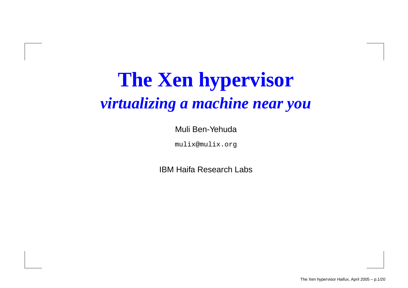# **The Xen hypervisor** *virtualizing <sup>a</sup> machine near you*

#### Muli Ben-Yehuda

mulix@mulix.org

IBM Haifa Research Labs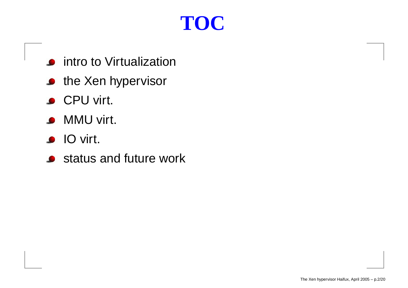# **TOC**

- intro to Virtualization
- the Xen hypervisor
- CPU virt.
- MMU virt.
- IO virt.
- status and future work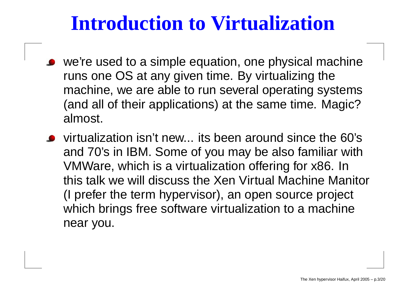#### **Introduction to Virtualization**

- we're used to <sup>a</sup> simple equation, one physical machine runs one OS at any given time. By virtualizing the machine, we are able to run several operating systems (and all of their applications) at the same time. Magic? almost.
- virtualization isn't new... its been around since the 60's and 70's in IBM. Some of you may be also familiar with VMWare, which is <sup>a</sup> virtualization offering for x86. In this talk we will discuss the Xen Virtual Machine Manitor (I prefer the term hypervisor), an open source project which brings free software virtualization to <sup>a</sup> machine near you.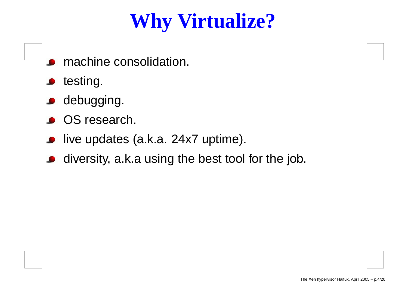# **Why Virtualize?**

- machine consolidation.
- testing.  $\bullet$
- **o** debugging.
- OS research.
- live updates (a.k.a. 24x7 uptime).  $\bullet$
- diversity, a.k.a using the best tool for the job.  $\bullet$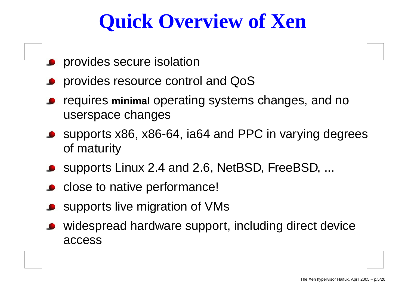# **Quick Overview of Xen**

- **P** provides secure isolation
- provides resource control and QoS
- requires **minimal** operating systems changes, and no userspace changes
- supports x86, x86-64, ia64 and PPC in varying degrees of maturity
- supports Linux 2.4 and 2.6, NetBSD, FreeBSD, ...
- close to native performance!
- supports live migration of VMs
- widespread hardware support, including direct device access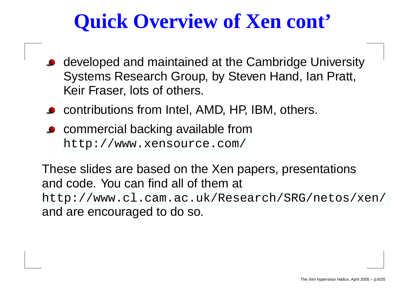# **Quick Overview of Xen cont'**

- developed and maintained at the Cambridge University Systems Research Group, by Steven Hand, Ian Pratt, Keir Fraser, lots of others.
- contributions from Intel, AMD, HP, IBM, others.
- **Commercial backing available from** [http://www](http://www.xensource.com/).[xensource](http://www.xensource.com/).[co](http://www.xensource.com/)m/

These slides are based on the Xen papers, presentations and code. You can find all of them at [http://www](http://www.cl.cam.ac.uk/Research/SRG/netos/xen/).[cl](http://www.cl.cam.ac.uk/Research/SRG/netos/xen/).[cam](http://www.cl.cam.ac.uk/Research/SRG/netos/xen/).[ac](http://www.cl.cam.ac.uk/Research/SRG/netos/xen/).[uk/Research/SRG/netos/xe](http://www.cl.cam.ac.uk/Research/SRG/netos/xen/)n/ and are encouraged to do so.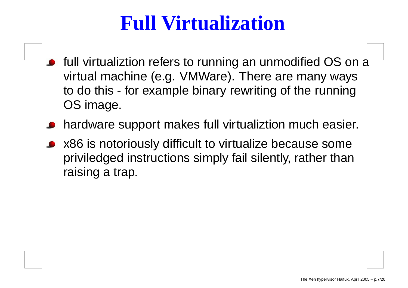## **Full Virtualization**

- full virtualiztion refers to running an unmodified OS on <sup>a</sup> virtual machine (e.g. VMWare). There are many ways to do this - for example binary rewriting of the running OS image.
- hardware support makes full virtualiztion much easier.
- x86 is notoriously difficult to virtualize because some priviledged instructions simply fail silently, rather than raising <sup>a</sup> trap.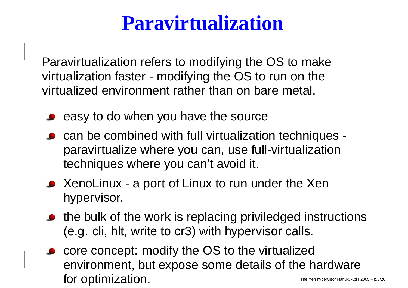# **Paravirtualization**

Paravirtualization refers to modifying the OS to make virtualization faster - modifying the OS to run on the virtualized environment rather than on bare metal.

- $\bullet$  easy to do when you have the source
- can be combined with full virtualization techniques paravirtualize where you can, use full-virtualization techniques where you can't avoid it.
- XenoLinux a port of Linux to run under the Xen hypervisor.
- the bulk of the work is replacing priviledged instructions (e.g. cli, hlt, write to cr3) with hypervisor calls.
- core concept: modify the OS to the virtualized environment, but expose some details of the hardware for optimization.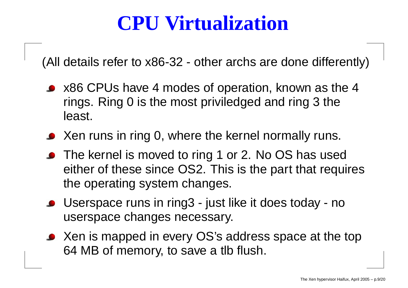# **CPU Virtualization**

(All details refer to x86-32 - other archs are done differently)

- x86 CPUs have 4 modes of operation, known as the 4 rings. Ring 0 is the most priviledged and ring 3 the least.
- Xen runs in ring 0, where the kernel normally runs.
- The kernel is moved to ring 1 or 2. No OS has used either of these since OS2. This is the part that requires the operating system changes.
- Userspace runs in ring3 just like it does today no userspace changes necessary.
- Xen is mapped in every OS's address space at the top 64 MB of memory, to save <sup>a</sup> tlb flush.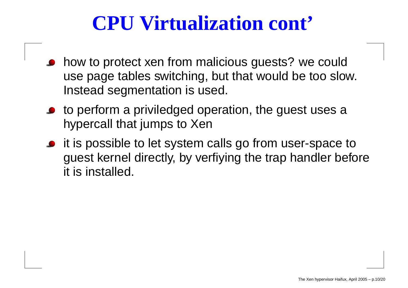## **CPU Virtualization cont'**

- how to protect xen from malicious guests? we could use page tables switching, but that would be too slow. Instead segmentation is used.
- to perform <sup>a</sup> priviledged operation, the guest uses <sup>a</sup> hypercall that jumps to Xen
- it is possible to let system calls go from user-space to guest kernel directly, by verfiying the trap handler before it is installed.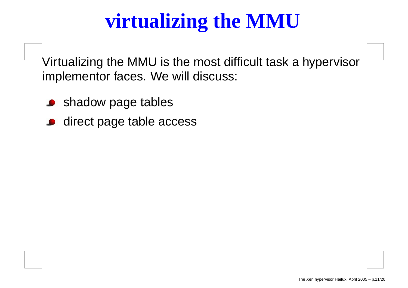# **virtualizing the MMU**

Virtualizing the MMU is the most difficult task <sup>a</sup> hypervisor implementor faces. We will discuss:

- shadow page tables
- direct page table access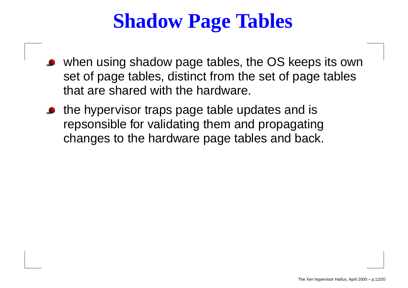# **Shadow Page Tables**

- when using shadow page tables, the OS keeps its own set of page tables, distinct from the set of page tables that are shared with the hardware.
- the hypervisor traps page table updates and is repsonsible for validating them and propagating changes to the hardware page tables and back.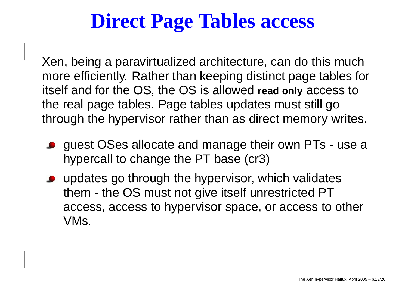# **Direct Page Tables access**

Xen, being <sup>a</sup> paravirtualized architecture, can do this much more efficiently. Rather than keeping distinct page tables for itself and for the OS, the OS is allowed **read only** access to the real page tables. Page tables updates must still go through the hypervisor rather than as direct memory writes.

- guest OSes allocate and manage their own PTs use <sup>a</sup> hypercall to change the PT base (cr3)
- updates go through the hypervisor, which validates them - the OS must not give itself unrestricted PT access, access to hypervisor space, or access to other VMs.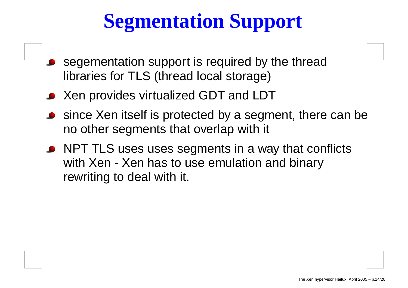# **Segmentation Support**

- segementation suppor t is required b y the thread libraries for TLS (thread local storage)
- Xen provides virtualized GDT and LDT
- since Xen itself is protected b y a segment, there can be no other segments that overlap with it
- NPT TLS uses uses segments in a way that conflicts with Xen - Xen has to use emulation and binar y rewriting to deal with it.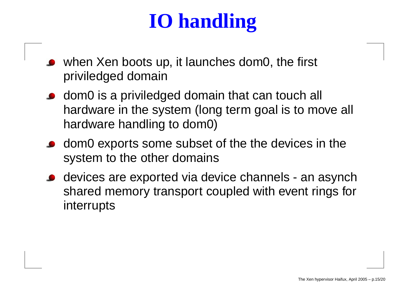# **IO handling**

- when Xen boots up, it launches dom0, the first priviledged domain
- dom0 is <sup>a</sup> priviledged domain that can touch all hardware in the system (long term goal is to move all hardware handling to dom0)
- dom0 exports some subset of the the devices in the system to the other domains
- devices are exported via device channels an asynch shared memory transport coupled with event rings for interrupts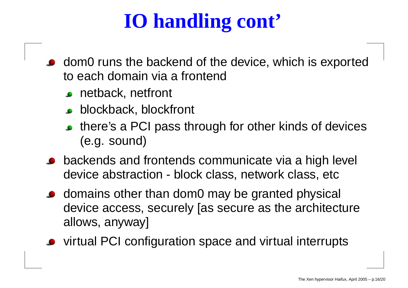# **IO handling cont'**

- dom0 runs the backend of the device, which is exported to each domain via a frontend
	- **c** netback, netfront
	- **blockback, blockfront**
	- there's a PCI pass through for other kinds of devices (e.g. sound)
- backends and frontends communicate via <sup>a</sup> high level device abstraction - block class, network class, etc
- domains other than dom0 may be granted physical device access, securely [as secure as the architecture allows, anyway]
- virtual PCI configuration space and virtual interrupts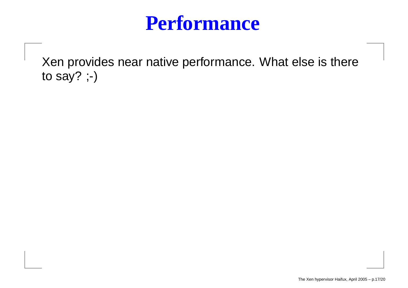#### **Performance**

Xen provides near native performance. What else is there to say? ;-)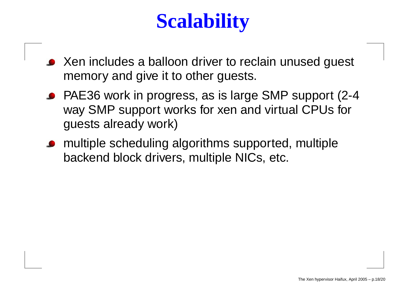# **Scalability**

- Xen includes <sup>a</sup> balloon driver to reclain unused guest memory and give it to other guests.
- PAE36 work in progress, as is large SMP support (2-4 way SMP support works for xen and virtual CPUs for guests already work)
- multiple scheduling algorithms supported, multiple backend block drivers, multiple NICs, etc.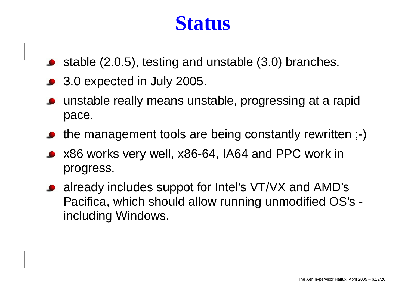#### **Status**

- stable (2.0.5), testing and unstable (3.0) branches.
- 3.0 expected in July 2005.
- unstable really means unstable, progressing at <sup>a</sup> rapid pace.
- the management tools are being constantly rewritten ;-)
- x86 works very well, x86-64, IA64 and PPC work in progress.
- already includes suppot for Intel's VT/VX and AMD's Pacifica, which should allow running unmodified OS's including Windows.